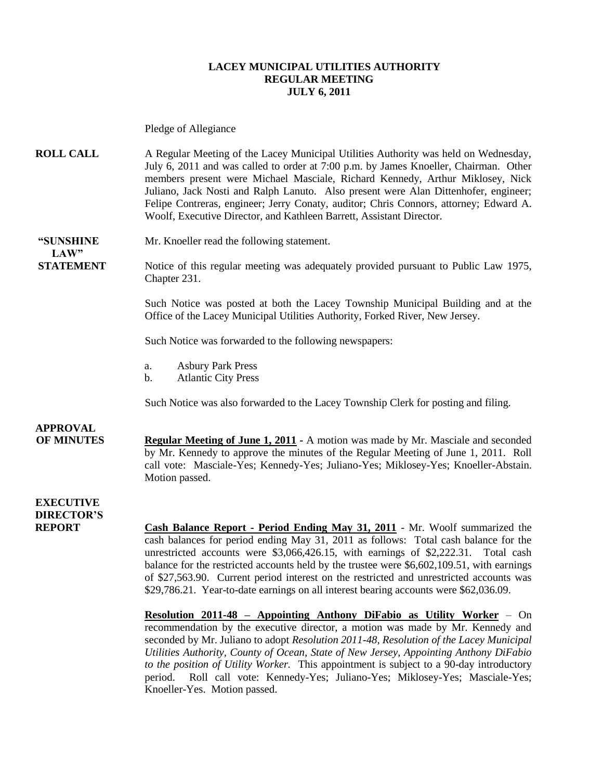#### **LACEY MUNICIPAL UTILITIES AUTHORITY REGULAR MEETING JULY 6, 2011**

Pledge of Allegiance

**ROLL CALL** A Regular Meeting of the Lacey Municipal Utilities Authority was held on Wednesday, July 6, 2011 and was called to order at 7:00 p.m. by James Knoeller, Chairman. Other members present were Michael Masciale, Richard Kennedy, Arthur Miklosey, Nick Juliano, Jack Nosti and Ralph Lanuto. Also present were Alan Dittenhofer, engineer; Felipe Contreras, engineer; Jerry Conaty, auditor; Chris Connors, attorney; Edward A. Woolf, Executive Director, and Kathleen Barrett, Assistant Director.

**"SUNSHINE** Mr. Knoeller read the following statement.  $LAW"$ 

**STATEMENT** Notice of this regular meeting was adequately provided pursuant to Public Law 1975, Chapter 231.

> Such Notice was posted at both the Lacey Township Municipal Building and at the Office of the Lacey Municipal Utilities Authority, Forked River, New Jersey.

Such Notice was forwarded to the following newspapers:

- a. Asbury Park Press
- b. Atlantic City Press

Such Notice was also forwarded to the Lacey Township Clerk for posting and filing.

## **APPROVAL**

**OF MINUTES Regular Meeting of June 1, 2011 -** A motion was made by Mr. Masciale and seconded by Mr. Kennedy to approve the minutes of the Regular Meeting of June 1, 2011. Roll call vote: Masciale-Yes; Kennedy-Yes; Juliano-Yes; Miklosey-Yes; Knoeller-Abstain. Motion passed.

### **EXECUTIVE DIRECTOR'S**

**REPORT Cash Balance Report - Period Ending May 31, 2011** - Mr. Woolf summarized the cash balances for period ending May 31, 2011 as follows: Total cash balance for the unrestricted accounts were \$3,066,426.15, with earnings of \$2,222.31. Total cash balance for the restricted accounts held by the trustee were \$6,602,109.51, with earnings of \$27,563.90. Current period interest on the restricted and unrestricted accounts was \$29,786.21. Year-to-date earnings on all interest bearing accounts were \$62,036.09.

> **Resolution 2011-48 – Appointing Anthony DiFabio as Utility Worker** – On recommendation by the executive director, a motion was made by Mr. Kennedy and seconded by Mr. Juliano to adopt *Resolution 2011-48, Resolution of the Lacey Municipal Utilities Authority, County of Ocean, State of New Jersey, Appointing Anthony DiFabio to the position of Utility Worker.* This appointment is subject to a 90-day introductory period. Roll call vote: Kennedy-Yes; Juliano-Yes; Miklosey-Yes; Masciale-Yes; Knoeller-Yes. Motion passed.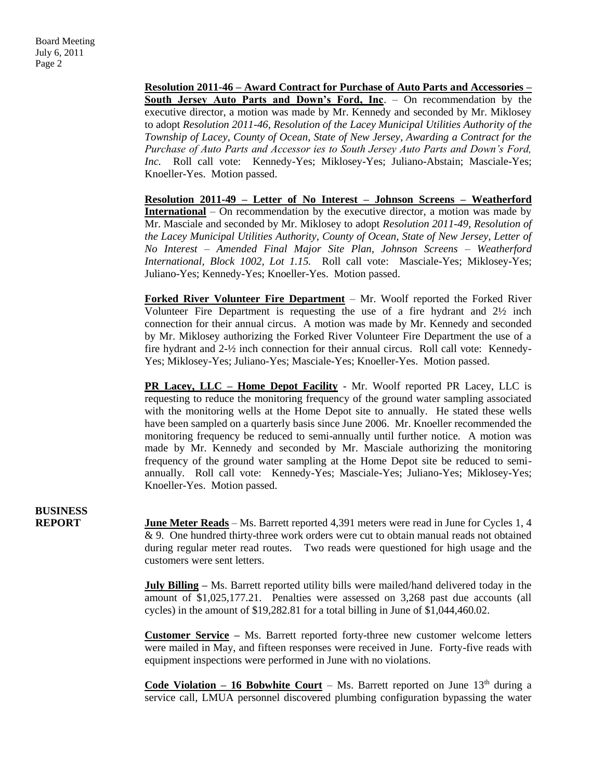**Resolution 2011-46 – Award Contract for Purchase of Auto Parts and Accessories – South Jersey Auto Parts and Down's Ford, Inc**. – On recommendation by the executive director, a motion was made by Mr. Kennedy and seconded by Mr. Miklosey to adopt *Resolution 2011-46, Resolution of the Lacey Municipal Utilities Authority of the Township of Lacey, County of Ocean, State of New Jersey, Awarding a Contract for the Purchase of Auto Parts and Accessor ies to South Jersey Auto Parts and Down's Ford, Inc.* Roll call vote: Kennedy-Yes; Miklosey-Yes; Juliano-Abstain; Masciale-Yes; Knoeller-Yes. Motion passed.

**Resolution 2011-49 – Letter of No Interest – Johnson Screens – Weatherford International** – On recommendation by the executive director, a motion was made by Mr. Masciale and seconded by Mr. Miklosey to adopt *Resolution 2011-49, Resolution of the Lacey Municipal Utilities Authority, County of Ocean, State of New Jersey, Letter of No Interest – Amended Final Major Site Plan, Johnson Screens – Weatherford International, Block 1002, Lot 1.15.* Roll call vote: Masciale-Yes; Miklosey-Yes; Juliano-Yes; Kennedy-Yes; Knoeller-Yes. Motion passed.

**Forked River Volunteer Fire Department** – Mr. Woolf reported the Forked River Volunteer Fire Department is requesting the use of a fire hydrant and  $2\frac{1}{2}$  inch connection for their annual circus. A motion was made by Mr. Kennedy and seconded by Mr. Miklosey authorizing the Forked River Volunteer Fire Department the use of a fire hydrant and 2-½ inch connection for their annual circus. Roll call vote: Kennedy-Yes; Miklosey-Yes; Juliano-Yes; Masciale-Yes; Knoeller-Yes. Motion passed.

**PR Lacey, LLC – Home Depot Facility** - Mr. Woolf reported PR Lacey, LLC is requesting to reduce the monitoring frequency of the ground water sampling associated with the monitoring wells at the Home Depot site to annually. He stated these wells have been sampled on a quarterly basis since June 2006. Mr. Knoeller recommended the monitoring frequency be reduced to semi-annually until further notice. A motion was made by Mr. Kennedy and seconded by Mr. Masciale authorizing the monitoring frequency of the ground water sampling at the Home Depot site be reduced to semiannually. Roll call vote: Kennedy-Yes; Masciale-Yes; Juliano-Yes; Miklosey-Yes; Knoeller-Yes. Motion passed.

**BUSINESS**

**REPORT** June Meter Reads – Ms. Barrett reported 4,391 meters were read in June for Cycles 1, 4 & 9. One hundred thirty-three work orders were cut to obtain manual reads not obtained during regular meter read routes. Two reads were questioned for high usage and the customers were sent letters.

> **July Billing** – Ms. Barrett reported utility bills were mailed/hand delivered today in the amount of \$1,025,177.21. Penalties were assessed on 3,268 past due accounts (all cycles) in the amount of \$19,282.81 for a total billing in June of \$1,044,460.02.

> **Customer Service –** Ms. Barrett reported forty-three new customer welcome letters were mailed in May, and fifteen responses were received in June. Forty-five reads with equipment inspections were performed in June with no violations.

> **Code Violation – 16 Bobwhite Court** – Ms. Barrett reported on June 13<sup>th</sup> during a service call, LMUA personnel discovered plumbing configuration bypassing the water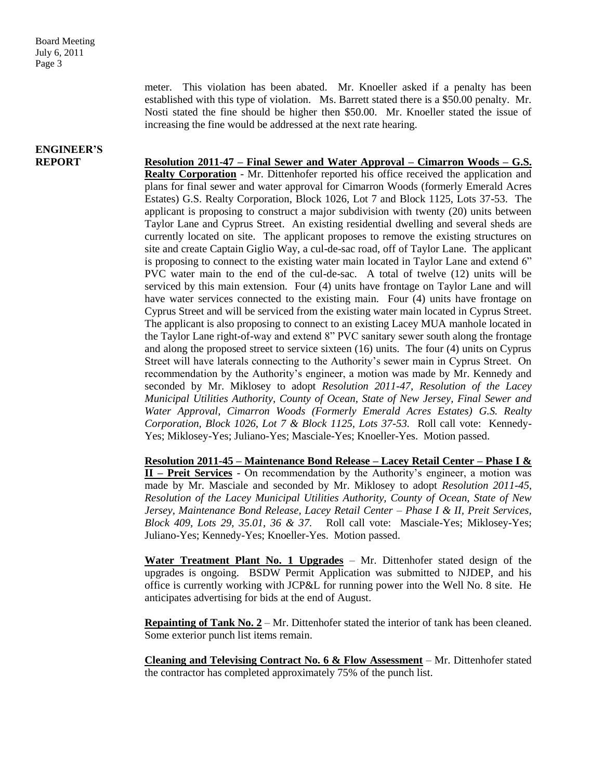meter. This violation has been abated. Mr. Knoeller asked if a penalty has been established with this type of violation. Ms. Barrett stated there is a \$50.00 penalty. Mr. Nosti stated the fine should be higher then \$50.00. Mr. Knoeller stated the issue of increasing the fine would be addressed at the next rate hearing.

# **ENGINEER'S**

**REPORT Resolution 2011-47 – Final Sewer and Water Approval – Cimarron Woods – G.S. Realty Corporation** - Mr. Dittenhofer reported his office received the application and plans for final sewer and water approval for Cimarron Woods (formerly Emerald Acres Estates) G.S. Realty Corporation, Block 1026, Lot 7 and Block 1125, Lots 37-53. The applicant is proposing to construct a major subdivision with twenty (20) units between Taylor Lane and Cyprus Street. An existing residential dwelling and several sheds are currently located on site. The applicant proposes to remove the existing structures on site and create Captain Giglio Way, a cul-de-sac road, off of Taylor Lane. The applicant is proposing to connect to the existing water main located in Taylor Lane and extend 6" PVC water main to the end of the cul-de-sac. A total of twelve (12) units will be serviced by this main extension. Four (4) units have frontage on Taylor Lane and will have water services connected to the existing main. Four (4) units have frontage on Cyprus Street and will be serviced from the existing water main located in Cyprus Street. The applicant is also proposing to connect to an existing Lacey MUA manhole located in the Taylor Lane right-of-way and extend 8" PVC sanitary sewer south along the frontage and along the proposed street to service sixteen (16) units. The four (4) units on Cyprus Street will have laterals connecting to the Authority's sewer main in Cyprus Street. On recommendation by the Authority's engineer, a motion was made by Mr. Kennedy and seconded by Mr. Miklosey to adopt *Resolution 2011-47, Resolution of the Lacey Municipal Utilities Authority, County of Ocean, State of New Jersey, Final Sewer and Water Approval, Cimarron Woods (Formerly Emerald Acres Estates) G.S. Realty Corporation, Block 1026, Lot 7 & Block 1125, Lots 37-53.* Roll call vote: Kennedy-Yes; Miklosey-Yes; Juliano-Yes; Masciale-Yes; Knoeller-Yes. Motion passed.

> **Resolution 2011-45 – Maintenance Bond Release – Lacey Retail Center – Phase I & II – Preit Services** - On recommendation by the Authority's engineer, a motion was made by Mr. Masciale and seconded by Mr. Miklosey to adopt *Resolution 2011-45, Resolution of the Lacey Municipal Utilities Authority, County of Ocean, State of New Jersey, Maintenance Bond Release, Lacey Retail Center – Phase I & II, Preit Services, Block 409, Lots 29, 35.01, 36 & 37.* Roll call vote: Masciale-Yes; Miklosey-Yes; Juliano-Yes; Kennedy-Yes; Knoeller-Yes. Motion passed.

> **Water Treatment Plant No. 1 Upgrades** – Mr. Dittenhofer stated design of the upgrades is ongoing. BSDW Permit Application was submitted to NJDEP, and his office is currently working with JCP&L for running power into the Well No. 8 site. He anticipates advertising for bids at the end of August.

> **Repainting of Tank No. 2** – Mr. Dittenhofer stated the interior of tank has been cleaned. Some exterior punch list items remain.

> **Cleaning and Televising Contract No. 6 & Flow Assessment** – Mr. Dittenhofer stated the contractor has completed approximately 75% of the punch list.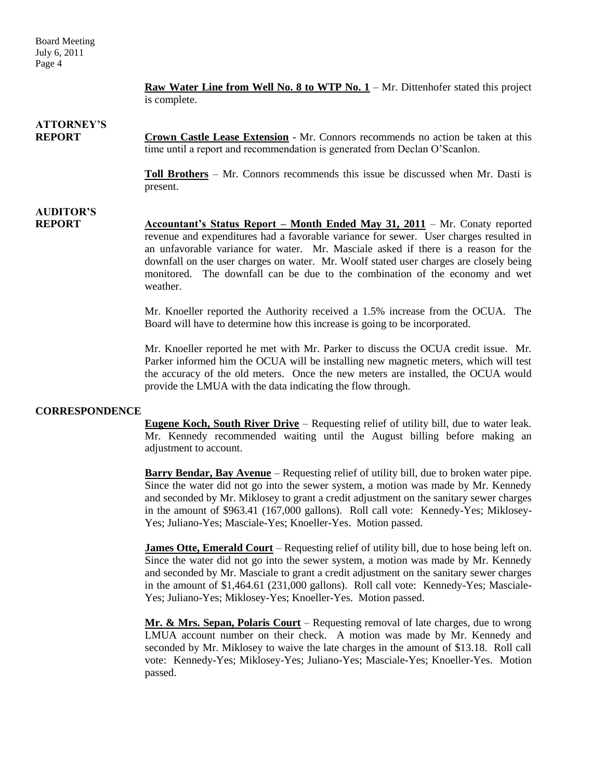Board Meeting July 6, 2011 Page 4

> **Raw Water Line from Well No. 8 to WTP No. 1** – Mr. Dittenhofer stated this project is complete.

## **ATTORNEY'S**

**REPORT Crown Castle Lease Extension** - Mr. Connors recommends no action be taken at this time until a report and recommendation is generated from Declan O'Scanlon.

> **Toll Brothers** – Mr. Connors recommends this issue be discussed when Mr. Dasti is present.

### **AUDITOR'S REPORT Accountant's Status Report – Month Ended May 31, 2011** – Mr. Conaty reported revenue and expenditures had a favorable variance for sewer. User charges resulted in an unfavorable variance for water. Mr. Masciale asked if there is a reason for the downfall on the user charges on water. Mr. Woolf stated user charges are closely being monitored. The downfall can be due to the combination of the economy and wet weather.

Mr. Knoeller reported the Authority received a 1.5% increase from the OCUA. The Board will have to determine how this increase is going to be incorporated.

Mr. Knoeller reported he met with Mr. Parker to discuss the OCUA credit issue. Mr. Parker informed him the OCUA will be installing new magnetic meters, which will test the accuracy of the old meters. Once the new meters are installed, the OCUA would provide the LMUA with the data indicating the flow through.

#### **CORRESPONDENCE**

**Eugene Koch, South River Drive** – Requesting relief of utility bill, due to water leak. Mr. Kennedy recommended waiting until the August billing before making an adjustment to account.

**Barry Bendar, Bay Avenue** – Requesting relief of utility bill, due to broken water pipe. Since the water did not go into the sewer system, a motion was made by Mr. Kennedy and seconded by Mr. Miklosey to grant a credit adjustment on the sanitary sewer charges in the amount of \$963.41 (167,000 gallons). Roll call vote: Kennedy-Yes; Miklosey-Yes; Juliano-Yes; Masciale-Yes; Knoeller-Yes. Motion passed.

**James Otte, Emerald Court** – Requesting relief of utility bill, due to hose being left on. Since the water did not go into the sewer system, a motion was made by Mr. Kennedy and seconded by Mr. Masciale to grant a credit adjustment on the sanitary sewer charges in the amount of \$1,464.61 (231,000 gallons). Roll call vote: Kennedy-Yes; Masciale-Yes; Juliano-Yes; Miklosey-Yes; Knoeller-Yes. Motion passed.

**Mr. & Mrs. Sepan, Polaris Court** – Requesting removal of late charges, due to wrong LMUA account number on their check. A motion was made by Mr. Kennedy and seconded by Mr. Miklosey to waive the late charges in the amount of \$13.18. Roll call vote: Kennedy-Yes; Miklosey-Yes; Juliano-Yes; Masciale-Yes; Knoeller-Yes. Motion passed.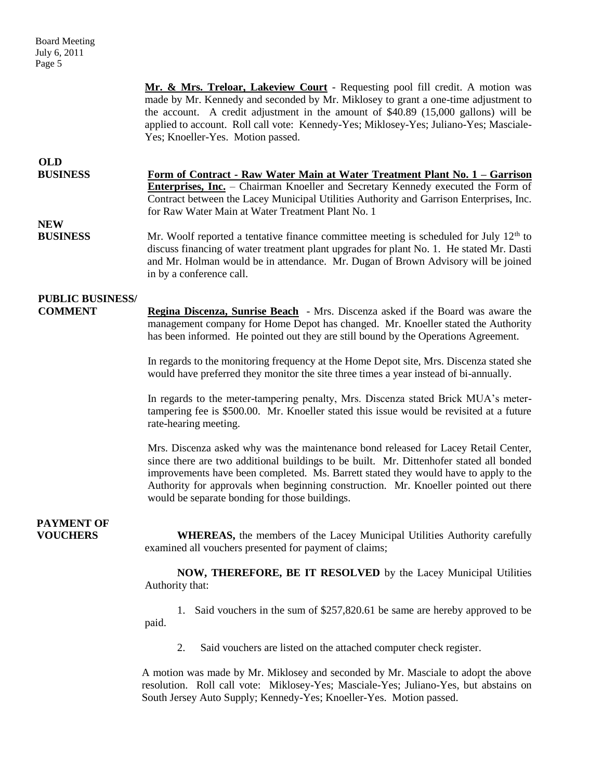**Mr. & Mrs. Treloar, Lakeview Court** - Requesting pool fill credit. A motion was made by Mr. Kennedy and seconded by Mr. Miklosey to grant a one-time adjustment to the account. A credit adjustment in the amount of \$40.89 (15,000 gallons) will be applied to account. Roll call vote: Kennedy-Yes; Miklosey-Yes; Juliano-Yes; Masciale-Yes; Knoeller-Yes. Motion passed.

| <b>OLD</b>      |                                                                                          |
|-----------------|------------------------------------------------------------------------------------------|
| <b>BUSINESS</b> | Form of Contract - Raw Water Main at Water Treatment Plant No. 1 – Garrison              |
|                 | <b>Enterprises, Inc.</b> – Chairman Knoeller and Secretary Kennedy executed the Form of  |
|                 | Contract between the Lacey Municipal Utilities Authority and Garrison Enterprises, Inc.  |
|                 | for Raw Water Main at Water Treatment Plant No. 1                                        |
| <b>NEW</b>      |                                                                                          |
| <b>BUSINESS</b> | Mr. Woolf reported a tentative finance committee meeting is scheduled for July $12th$ to |
|                 | discuss financing of water treatment plant upgrades for plant No. 1. He stated Mr. Dasti |

in by a conference call.

### **PUBLIC BUSINESS/**

**COMMENT Regina Discenza, Sunrise Beach** - Mrs. Discenza asked if the Board was aware the management company for Home Depot has changed. Mr. Knoeller stated the Authority has been informed. He pointed out they are still bound by the Operations Agreement.

and Mr. Holman would be in attendance. Mr. Dugan of Brown Advisory will be joined

In regards to the monitoring frequency at the Home Depot site, Mrs. Discenza stated she would have preferred they monitor the site three times a year instead of bi-annually.

In regards to the meter-tampering penalty, Mrs. Discenza stated Brick MUA's metertampering fee is \$500.00. Mr. Knoeller stated this issue would be revisited at a future rate-hearing meeting.

Mrs. Discenza asked why was the maintenance bond released for Lacey Retail Center, since there are two additional buildings to be built. Mr. Dittenhofer stated all bonded improvements have been completed. Ms. Barrett stated they would have to apply to the Authority for approvals when beginning construction. Mr. Knoeller pointed out there would be separate bonding for those buildings.

# **PAYMENT OF**

 **VOUCHERS WHEREAS,** the members of the Lacey Municipal Utilities Authority carefully examined all vouchers presented for payment of claims;

> **NOW, THEREFORE, BE IT RESOLVED** by the Lacey Municipal Utilities Authority that:

> 1. Said vouchers in the sum of \$257,820.61 be same are hereby approved to be paid.

2. Said vouchers are listed on the attached computer check register.

A motion was made by Mr. Miklosey and seconded by Mr. Masciale to adopt the above resolution. Roll call vote: Miklosey-Yes; Masciale-Yes; Juliano-Yes, but abstains on South Jersey Auto Supply; Kennedy-Yes; Knoeller-Yes. Motion passed.